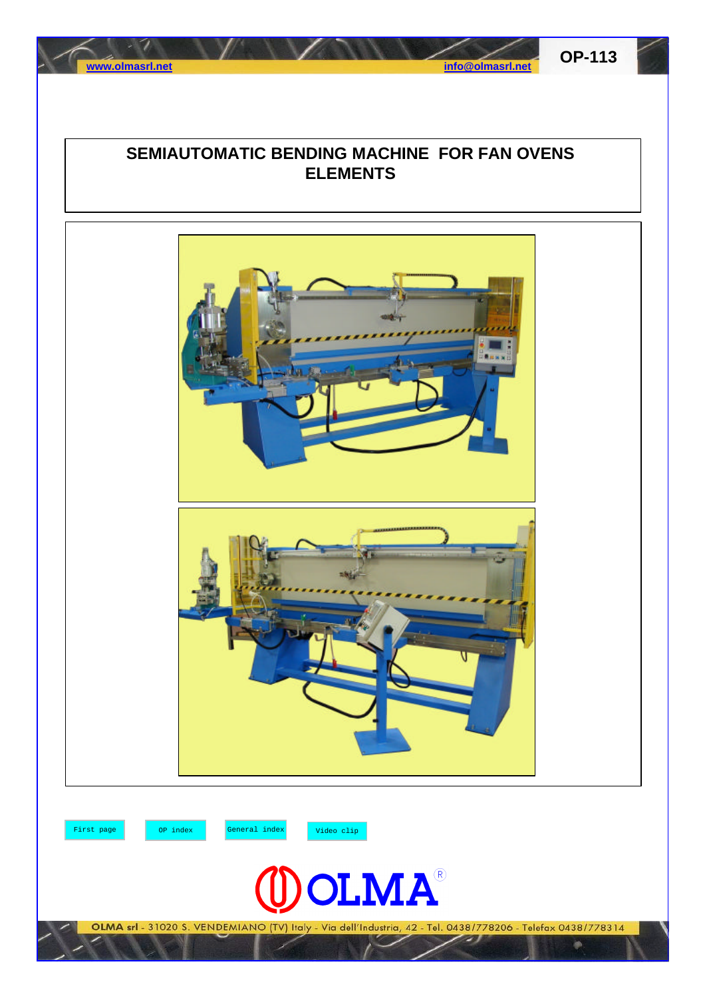